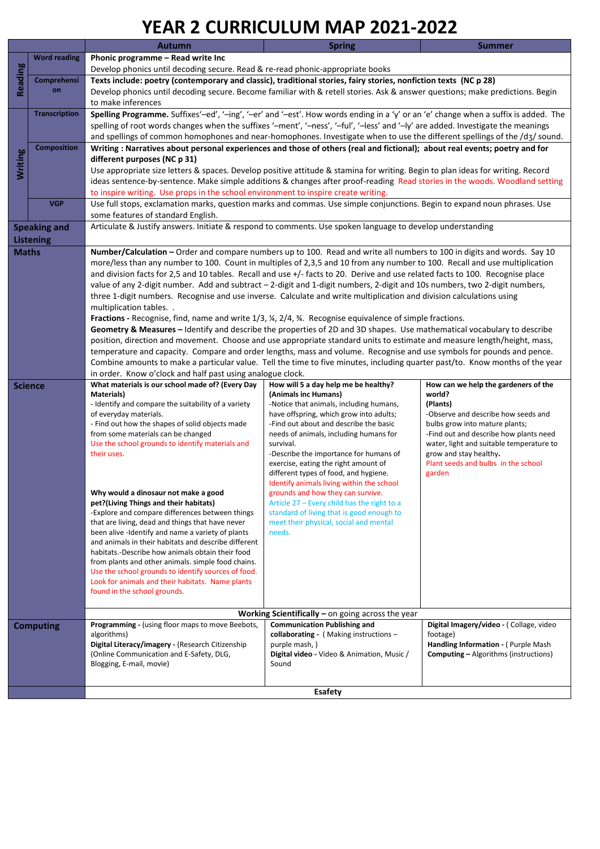## **YEAR 2 CURRICULUM MAP 2021-2022**

|                |                      | I LAI\ 4 CONNICOLOIVI IVIAI                                                                                                                                                                                                                                                                                                                                                                                                  | LULI-LULL                                                                        |                                                |  |  |  |  |  |
|----------------|----------------------|------------------------------------------------------------------------------------------------------------------------------------------------------------------------------------------------------------------------------------------------------------------------------------------------------------------------------------------------------------------------------------------------------------------------------|----------------------------------------------------------------------------------|------------------------------------------------|--|--|--|--|--|
|                |                      | <b>Autumn</b>                                                                                                                                                                                                                                                                                                                                                                                                                | <b>Spring</b>                                                                    | <b>Summer</b>                                  |  |  |  |  |  |
|                | <b>Word reading</b>  | Phonic programme - Read write Inc                                                                                                                                                                                                                                                                                                                                                                                            |                                                                                  |                                                |  |  |  |  |  |
| Reading        |                      | Develop phonics until decoding secure. Read & re-read phonic-appropriate books<br>Texts include: poetry (contemporary and classic), traditional stories, fairy stories, nonfiction texts (NC p 28)<br>Develop phonics until decoding secure. Become familiar with & retell stories. Ask & answer questions; make predictions. Begin                                                                                          |                                                                                  |                                                |  |  |  |  |  |
|                | Comprehensi          |                                                                                                                                                                                                                                                                                                                                                                                                                              |                                                                                  |                                                |  |  |  |  |  |
|                | on                   |                                                                                                                                                                                                                                                                                                                                                                                                                              |                                                                                  |                                                |  |  |  |  |  |
|                |                      | to make inferences                                                                                                                                                                                                                                                                                                                                                                                                           |                                                                                  |                                                |  |  |  |  |  |
|                | <b>Transcription</b> | Spelling Programme. Suffixes'-ed', '-ing', '-er' and '-est'. How words ending in a 'y' or an 'e' change when a suffix is added. The                                                                                                                                                                                                                                                                                          |                                                                                  |                                                |  |  |  |  |  |
|                |                      | spelling of root words changes when the suffixes '-ment', '-ness', '-ful', '-less' and '-ly' are added. Investigate the meanings                                                                                                                                                                                                                                                                                             |                                                                                  |                                                |  |  |  |  |  |
|                |                      | and spellings of common homophones and near-homophones. Investigate when to use the different spellings of the /d3/ sound.                                                                                                                                                                                                                                                                                                   |                                                                                  |                                                |  |  |  |  |  |
|                | <b>Composition</b>   |                                                                                                                                                                                                                                                                                                                                                                                                                              |                                                                                  |                                                |  |  |  |  |  |
| <b>Writing</b> |                      | Writing: Narratives about personal experiences and those of others (real and fictional); about real events; poetry and for<br>different purposes (NC p 31)<br>Use appropriate size letters & spaces. Develop positive attitude & stamina for writing. Begin to plan ideas for writing. Record<br>ideas sentence-by-sentence. Make simple additions & changes after proof-reading Read stories in the woods. Woodland setting |                                                                                  |                                                |  |  |  |  |  |
|                |                      |                                                                                                                                                                                                                                                                                                                                                                                                                              |                                                                                  |                                                |  |  |  |  |  |
|                |                      |                                                                                                                                                                                                                                                                                                                                                                                                                              |                                                                                  |                                                |  |  |  |  |  |
|                |                      | to inspire writing. Use props in the school environment to inspire create writing.                                                                                                                                                                                                                                                                                                                                           |                                                                                  |                                                |  |  |  |  |  |
|                | <b>VGP</b>           | Use full stops, exclamation marks, question marks and commas. Use simple conjunctions. Begin to expand noun phrases. Use                                                                                                                                                                                                                                                                                                     |                                                                                  |                                                |  |  |  |  |  |
|                |                      | some features of standard English.                                                                                                                                                                                                                                                                                                                                                                                           |                                                                                  |                                                |  |  |  |  |  |
|                | <b>Speaking and</b>  | Articulate & Justify answers. Initiate & respond to comments. Use spoken language to develop understanding                                                                                                                                                                                                                                                                                                                   |                                                                                  |                                                |  |  |  |  |  |
|                |                      |                                                                                                                                                                                                                                                                                                                                                                                                                              |                                                                                  |                                                |  |  |  |  |  |
|                | <b>Listening</b>     |                                                                                                                                                                                                                                                                                                                                                                                                                              |                                                                                  |                                                |  |  |  |  |  |
| <b>Maths</b>   |                      | Number/Calculation - Order and compare numbers up to 100. Read and write all numbers to 100 in digits and words. Say 10<br>more/less than any number to 100. Count in multiples of 2,3,5 and 10 from any number to 100. Recall and use multiplication                                                                                                                                                                        |                                                                                  |                                                |  |  |  |  |  |
|                |                      |                                                                                                                                                                                                                                                                                                                                                                                                                              |                                                                                  |                                                |  |  |  |  |  |
|                |                      | and division facts for 2,5 and 10 tables. Recall and use +/- facts to 20. Derive and use related facts to 100. Recognise place                                                                                                                                                                                                                                                                                               |                                                                                  |                                                |  |  |  |  |  |
|                |                      | value of any 2-digit number. Add and subtract - 2-digit and 1-digit numbers, 2-digit and 10s numbers, two 2-digit numbers,                                                                                                                                                                                                                                                                                                   |                                                                                  |                                                |  |  |  |  |  |
|                |                      | three 1-digit numbers. Recognise and use inverse. Calculate and write multiplication and division calculations using                                                                                                                                                                                                                                                                                                         |                                                                                  |                                                |  |  |  |  |  |
|                |                      | multiplication tables                                                                                                                                                                                                                                                                                                                                                                                                        |                                                                                  |                                                |  |  |  |  |  |
|                |                      | Fractions - Recognise, find, name and write $1/3$ , $\frac{1}{4}$ , $\frac{2}{4}$ , $\frac{3}{4}$ . Recognise equivalence of simple fractions.                                                                                                                                                                                                                                                                               |                                                                                  |                                                |  |  |  |  |  |
|                |                      | Geometry & Measures - Identify and describe the properties of 2D and 3D shapes. Use mathematical vocabulary to describe                                                                                                                                                                                                                                                                                                      |                                                                                  |                                                |  |  |  |  |  |
|                |                      | position, direction and movement. Choose and use appropriate standard units to estimate and measure length/height, mass,                                                                                                                                                                                                                                                                                                     |                                                                                  |                                                |  |  |  |  |  |
|                |                      | temperature and capacity. Compare and order lengths, mass and volume. Recognise and use symbols for pounds and pence.                                                                                                                                                                                                                                                                                                        |                                                                                  |                                                |  |  |  |  |  |
|                |                      | Combine amounts to make a particular value. Tell the time to five minutes, including quarter past/to. Know months of the year                                                                                                                                                                                                                                                                                                |                                                                                  |                                                |  |  |  |  |  |
|                |                      | in order. Know o'clock and half past using analogue clock.                                                                                                                                                                                                                                                                                                                                                                   |                                                                                  |                                                |  |  |  |  |  |
| <b>Science</b> |                      | What materials is our school made of? (Every Day<br>Materials)                                                                                                                                                                                                                                                                                                                                                               | How will 5 a day help me be healthy?<br>(Animals inc Humans)                     | How can we help the gardeners of the<br>world? |  |  |  |  |  |
|                |                      | - Identify and compare the suitability of a variety                                                                                                                                                                                                                                                                                                                                                                          | -Notice that animals, including humans,                                          | (Plants)                                       |  |  |  |  |  |
|                |                      | of everyday materials.                                                                                                                                                                                                                                                                                                                                                                                                       | have offspring, which grow into adults;                                          | -Observe and describe how seeds and            |  |  |  |  |  |
|                |                      | - Find out how the shapes of solid objects made                                                                                                                                                                                                                                                                                                                                                                              | -Find out about and describe the basic                                           | bulbs grow into mature plants;                 |  |  |  |  |  |
|                |                      | from some materials can be changed                                                                                                                                                                                                                                                                                                                                                                                           | needs of animals, including humans for                                           | -Find out and describe how plants need         |  |  |  |  |  |
|                |                      | Use the school grounds to identify materials and                                                                                                                                                                                                                                                                                                                                                                             | survival.                                                                        | water, light and suitable temperature to       |  |  |  |  |  |
|                |                      | their uses.                                                                                                                                                                                                                                                                                                                                                                                                                  | -Describe the importance for humans of                                           | grow and stay healthy.                         |  |  |  |  |  |
|                |                      |                                                                                                                                                                                                                                                                                                                                                                                                                              | exercise, eating the right amount of                                             | Plant seeds and bulbs in the school            |  |  |  |  |  |
|                |                      |                                                                                                                                                                                                                                                                                                                                                                                                                              | different types of food, and hygiene.                                            | garden                                         |  |  |  |  |  |
|                |                      | Why would a dinosaur not make a good                                                                                                                                                                                                                                                                                                                                                                                         | Identify animals living within the school                                        |                                                |  |  |  |  |  |
|                |                      | pet?(Living Things and their habitats)                                                                                                                                                                                                                                                                                                                                                                                       | grounds and how they can survive.<br>Article 27 - Every child has the right to a |                                                |  |  |  |  |  |
|                |                      | -Explore and compare differences between things                                                                                                                                                                                                                                                                                                                                                                              | standard of living that is good enough to                                        |                                                |  |  |  |  |  |
|                |                      | that are living, dead and things that have never                                                                                                                                                                                                                                                                                                                                                                             | meet their physical, social and mental                                           |                                                |  |  |  |  |  |
|                |                      | been alive -Identify and name a variety of plants                                                                                                                                                                                                                                                                                                                                                                            | needs.                                                                           |                                                |  |  |  |  |  |
|                |                      | and animals in their habitats and describe different                                                                                                                                                                                                                                                                                                                                                                         |                                                                                  |                                                |  |  |  |  |  |
|                |                      | habitats.-Describe how animals obtain their food                                                                                                                                                                                                                                                                                                                                                                             |                                                                                  |                                                |  |  |  |  |  |
|                |                      | from plants and other animals. simple food chains.                                                                                                                                                                                                                                                                                                                                                                           |                                                                                  |                                                |  |  |  |  |  |
|                |                      | Use the school grounds to identify sources of food.                                                                                                                                                                                                                                                                                                                                                                          |                                                                                  |                                                |  |  |  |  |  |
|                |                      | Look for animals and their habitats. Name plants                                                                                                                                                                                                                                                                                                                                                                             |                                                                                  |                                                |  |  |  |  |  |
|                |                      | found in the school grounds.                                                                                                                                                                                                                                                                                                                                                                                                 |                                                                                  |                                                |  |  |  |  |  |
|                |                      |                                                                                                                                                                                                                                                                                                                                                                                                                              | Working Scientifically $-$ on going across the year                              |                                                |  |  |  |  |  |
|                | <b>Computing</b>     | Programming - (using floor maps to move Beebots,                                                                                                                                                                                                                                                                                                                                                                             | <b>Communication Publishing and</b>                                              | Digital Imagery/video - (Collage, video        |  |  |  |  |  |
|                |                      | algorithms)                                                                                                                                                                                                                                                                                                                                                                                                                  | collaborating - (Making instructions -                                           | footage)                                       |  |  |  |  |  |
|                |                      | Digital Literacy/imagery - (Research Citizenship                                                                                                                                                                                                                                                                                                                                                                             | purple mash, )                                                                   | Handling Information - (Purple Mash            |  |  |  |  |  |
|                |                      | (Online Communication and E-Safety, DLG,                                                                                                                                                                                                                                                                                                                                                                                     | Digital video - Video & Animation, Music /                                       | <b>Computing – Algorithms (instructions)</b>   |  |  |  |  |  |
|                |                      | Blogging, E-mail, movie)                                                                                                                                                                                                                                                                                                                                                                                                     | Sound                                                                            |                                                |  |  |  |  |  |
|                |                      |                                                                                                                                                                                                                                                                                                                                                                                                                              |                                                                                  |                                                |  |  |  |  |  |
|                |                      | <b>Esafety</b>                                                                                                                                                                                                                                                                                                                                                                                                               |                                                                                  |                                                |  |  |  |  |  |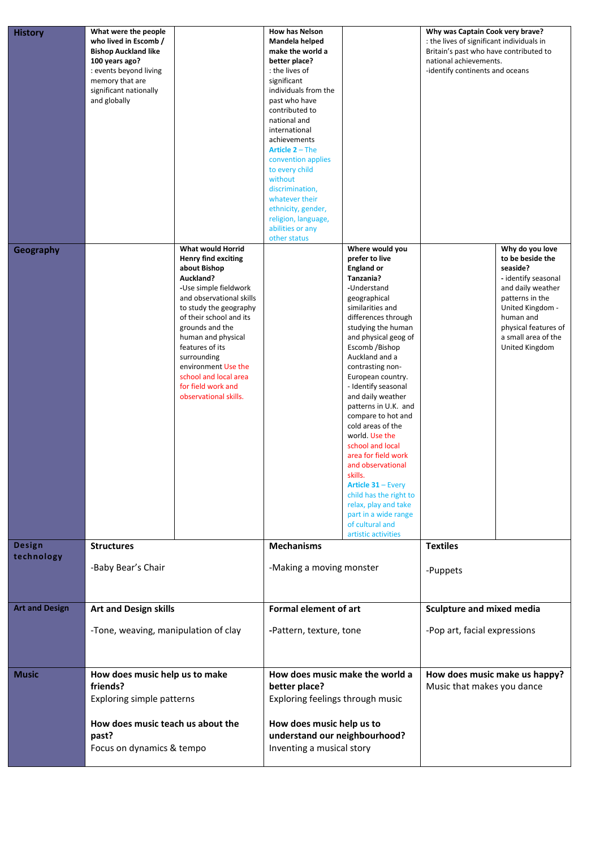| <b>History</b>        | What were the people<br>who lived in Escomb /<br><b>Bishop Auckland like</b><br>100 years ago?<br>: events beyond living<br>memory that are<br>significant nationally<br>and globally |                                                                                                                                                                                                                                                                                                                                                                  | <b>How has Nelson</b><br>Mandela helped<br>make the world a<br>better place?<br>: the lives of<br>significant<br>individuals from the<br>past who have<br>contributed to<br>national and<br>international<br>achievements<br>Article 2 - The<br>convention applies<br>to every child<br>without<br>discrimination,<br>whatever their<br>ethnicity, gender,<br>religion, language,<br>abilities or any<br>other status |                                                                                                                                                                                                                                                                                                                                                                                                                                                                                                                                                                                                                                | Why was Captain Cook very brave?<br>: the lives of significant individuals in<br>Britain's past who have contributed to<br>national achievements.<br>-identify continents and oceans |                                                                                                                                                                                                                  |
|-----------------------|---------------------------------------------------------------------------------------------------------------------------------------------------------------------------------------|------------------------------------------------------------------------------------------------------------------------------------------------------------------------------------------------------------------------------------------------------------------------------------------------------------------------------------------------------------------|-----------------------------------------------------------------------------------------------------------------------------------------------------------------------------------------------------------------------------------------------------------------------------------------------------------------------------------------------------------------------------------------------------------------------|--------------------------------------------------------------------------------------------------------------------------------------------------------------------------------------------------------------------------------------------------------------------------------------------------------------------------------------------------------------------------------------------------------------------------------------------------------------------------------------------------------------------------------------------------------------------------------------------------------------------------------|--------------------------------------------------------------------------------------------------------------------------------------------------------------------------------------|------------------------------------------------------------------------------------------------------------------------------------------------------------------------------------------------------------------|
| Geography             |                                                                                                                                                                                       | What would Horrid<br><b>Henry find exciting</b><br>about Bishop<br>Auckland?<br>-Use simple fieldwork<br>and observational skills<br>to study the geography<br>of their school and its<br>grounds and the<br>human and physical<br>features of its<br>surrounding<br>environment Use the<br>school and local area<br>for field work and<br>observational skills. |                                                                                                                                                                                                                                                                                                                                                                                                                       | Where would you<br>prefer to live<br><b>England or</b><br>Tanzania?<br>-Understand<br>geographical<br>similarities and<br>differences through<br>studying the human<br>and physical geog of<br>Escomb /Bishop<br>Auckland and a<br>contrasting non-<br>European country.<br>- Identify seasonal<br>and daily weather<br>patterns in U.K. and<br>compare to hot and<br>cold areas of the<br>world. Use the<br>school and local<br>area for field work<br>and observational<br>skills.<br>Article 31 - Every<br>child has the right to<br>relax, play and take<br>part in a wide range<br>of cultural and<br>artistic activities |                                                                                                                                                                                      | Why do you love<br>to be beside the<br>seaside?<br>- identify seasonal<br>and daily weather<br>patterns in the<br>United Kingdom -<br>human and<br>physical features of<br>a small area of the<br>United Kingdom |
| Design                | <b>Structures</b><br>-Baby Bear's Chair                                                                                                                                               |                                                                                                                                                                                                                                                                                                                                                                  | <b>Mechanisms</b>                                                                                                                                                                                                                                                                                                                                                                                                     |                                                                                                                                                                                                                                                                                                                                                                                                                                                                                                                                                                                                                                | <b>Textiles</b>                                                                                                                                                                      |                                                                                                                                                                                                                  |
| technology            |                                                                                                                                                                                       |                                                                                                                                                                                                                                                                                                                                                                  | -Making a moving monster                                                                                                                                                                                                                                                                                                                                                                                              |                                                                                                                                                                                                                                                                                                                                                                                                                                                                                                                                                                                                                                | -Puppets                                                                                                                                                                             |                                                                                                                                                                                                                  |
| <b>Art and Design</b> | <b>Art and Design skills</b><br>-Tone, weaving, manipulation of clay                                                                                                                  |                                                                                                                                                                                                                                                                                                                                                                  | <b>Formal element of art</b><br>-Pattern, texture, tone                                                                                                                                                                                                                                                                                                                                                               |                                                                                                                                                                                                                                                                                                                                                                                                                                                                                                                                                                                                                                | <b>Sculpture and mixed media</b><br>-Pop art, facial expressions                                                                                                                     |                                                                                                                                                                                                                  |
|                       |                                                                                                                                                                                       |                                                                                                                                                                                                                                                                                                                                                                  |                                                                                                                                                                                                                                                                                                                                                                                                                       |                                                                                                                                                                                                                                                                                                                                                                                                                                                                                                                                                                                                                                |                                                                                                                                                                                      |                                                                                                                                                                                                                  |
| Music                 | How does music help us to make<br>friends?<br><b>Exploring simple patterns</b>                                                                                                        |                                                                                                                                                                                                                                                                                                                                                                  | How does music make the world a<br>better place?<br>Exploring feelings through music                                                                                                                                                                                                                                                                                                                                  |                                                                                                                                                                                                                                                                                                                                                                                                                                                                                                                                                                                                                                | How does music make us happy?<br>Music that makes you dance                                                                                                                          |                                                                                                                                                                                                                  |
|                       | How does music teach us about the<br>past?<br>Focus on dynamics & tempo                                                                                                               |                                                                                                                                                                                                                                                                                                                                                                  | How does music help us to<br>understand our neighbourhood?<br>Inventing a musical story                                                                                                                                                                                                                                                                                                                               |                                                                                                                                                                                                                                                                                                                                                                                                                                                                                                                                                                                                                                |                                                                                                                                                                                      |                                                                                                                                                                                                                  |